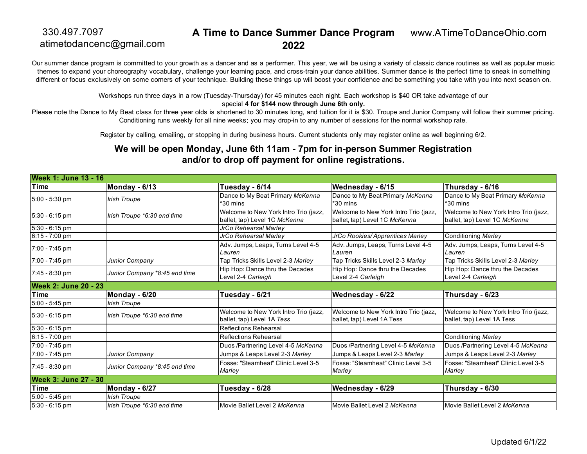### 330.497.7097 atimetodancenc@gmail.com

#### **A Time to Dance Summer Dance Program 2022** www.ATimeToDanceOhio.com

Our summer dance program is committed to your growth as a dancer and as a performer. This year, we will be using a variety of classic dance routines as well as popular music themes to expand your choreography vocabulary, challenge your learning pace, and cross-train your dance abilities. Summer dance is the perfect time to sneak in something different or focus exclusively on some corners of your technique. Building these things up will boost your confidence and be something you take with you into next season on.

> Workshops run three days in a row (Tuesday-Thursday) for 45 minutes each night. Each workshop is \$40 OR take advantage of our special **4 for \$144 now through June 6th only.**

Please note the Dance to My Beat class for three year olds is shortened to 30 minutes long, and tuition for it is \$30. Troupe and Junior Company will follow their summer pricing. Conditioning runs weekly for all nine weeks; you may drop-in to any number of sessions for the normal workshop rate.

Register by calling, emailing, or stopping in during business hours. Current students only may register online as well beginning 6/2.

### **We will be open Monday, June 6th 11am - 7pm for in-person Summer Registration and/or to drop off payment for online registrations.**

| <b>Week 1: June 13 - 16</b> |                               |                                                                        |                                                                        |                                                                        |
|-----------------------------|-------------------------------|------------------------------------------------------------------------|------------------------------------------------------------------------|------------------------------------------------------------------------|
| <b>Time</b>                 | Monday - 6/13                 | Tuesday - 6/14                                                         | Wednesday - 6/15                                                       | Thursday - 6/16                                                        |
| 5:00 - 5:30 pm              | <b>Irish Troupe</b>           | Dance to My Beat Primary McKenna<br>*30 mins                           | Dance to My Beat Primary McKenna<br>*30 mins                           | Dance to My Beat Primary McKenna<br>*30 mins                           |
| $5:30 - 6:15$ pm            | Irish Troupe *6:30 end time   | Welcome to New York Intro Trio (jazz,<br>ballet, tap) Level 1C McKenna | Welcome to New York Intro Trio (jazz,<br>ballet, tap) Level 1C McKenna | Welcome to New York Intro Trio (jazz,<br>ballet, tap) Level 1C McKenna |
| $5:30 - 6:15$ pm            |                               | JrCo Rehearsal Marley                                                  |                                                                        |                                                                        |
| $6:15 - 7:00$ pm            |                               | JrCo Rehearsal Marley                                                  | JrCo Rookies/Apprentices Marley                                        | <b>Conditioning Marley</b>                                             |
| 7:00 - 7:45 pm              |                               | Adv. Jumps, Leaps, Turns Level 4-5<br>Lauren                           | Adv. Jumps, Leaps, Turns Level 4-5<br>Lauren                           | Adv. Jumps, Leaps, Turns Level 4-5<br>Lauren                           |
| 7:00 - 7:45 pm              | Junior Company                | Tap Tricks Skills Level 2-3 Marley                                     | Tap Tricks Skills Level 2-3 Marley                                     | Tap Tricks Skills Level 2-3 Marley                                     |
| 7:45 - 8:30 pm              | Junior Company *8:45 end time | Hip Hop: Dance thru the Decades<br>Level 2-4 Carleigh                  | Hip Hop: Dance thru the Decades<br>Level 2-4 Carleigh                  | Hip Hop: Dance thru the Decades<br>Level 2-4 Carleigh                  |
| <b>Week 2: June 20 - 23</b> |                               |                                                                        |                                                                        |                                                                        |
| <b>Time</b>                 | Monday - 6/20                 | Tuesday - 6/21                                                         | Wednesday - 6/22                                                       | Thursday - 6/23                                                        |
| 5:00 - 5:45 pm              | <b>Irish Troupe</b>           |                                                                        |                                                                        |                                                                        |
| $5:30 - 6:15$ pm            | Irish Troupe *6:30 end time   | Welcome to New York Intro Trio (jazz,<br>ballet, tap) Level 1A Tess    | Welcome to New York Intro Trio (jazz,<br>ballet, tap) Level 1A Tess    | Welcome to New York Intro Trio (jazz,<br>ballet, tap) Level 1A Tess    |
| 5:30 - 6:15 pm              |                               | Reflections Rehearsal                                                  |                                                                        |                                                                        |
| 6:15 - 7:00 pm              |                               | <b>Reflections Rehearsal</b>                                           |                                                                        | <b>Conditioning Marley</b>                                             |
| 7:00 - 7:45 pm              |                               | Duos /Partnering Level 4-5 McKenna                                     | Duos /Partnering Level 4-5 McKenna                                     | Duos /Partnering Level 4-5 McKenna                                     |
| 7:00 - 7:45 pm              | Junior Company                | Jumps & Leaps Level 2-3 Marley                                         | Jumps & Leaps Level 2-3 Marley                                         | Jumps & Leaps Level 2-3 Marley                                         |
| 7:45 - 8:30 pm              | Junior Company *8:45 end time | Fosse: "Steamheat" Clinic Level 3-5<br>Marley                          | Fosse: "Steamheat" Clinic Level 3-5<br>Marley                          | Fosse: "Steamheat" Clinic Level 3-5<br>Marley                          |
| <b>Week 3: June 27 - 30</b> |                               |                                                                        |                                                                        |                                                                        |
| Time                        | Monday - 6/27                 | Tuesday - 6/28                                                         | Wednesday - 6/29                                                       | Thursday - 6/30                                                        |
| 5:00 - 5:45 pm              | <b>Irish Troupe</b>           |                                                                        |                                                                        |                                                                        |
| 5:30 - 6:15 pm              | Irish Troupe *6:30 end time   | Movie Ballet Level 2 McKenna                                           | Movie Ballet Level 2 McKenna                                           | Movie Ballet Level 2 McKenna                                           |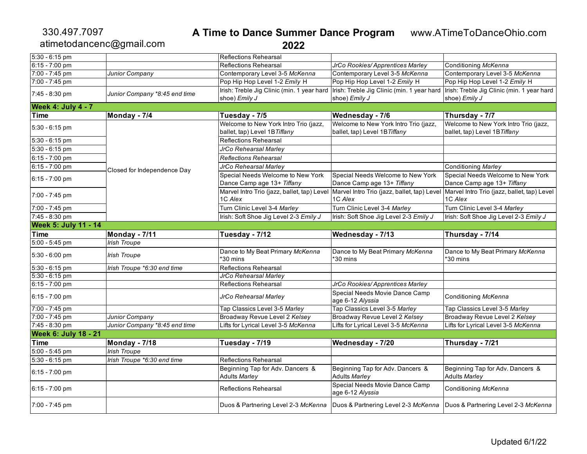### 330.497.7097 atimetodancenc@gmail.com

**A Time to Dance Summer Dance Program**

www.ATimeToDanceOhio.com

| ٧<br>× |
|--------|
|--------|

| $5:30 - 6:15$ pm            |                               | <b>Reflections Rehearsal</b>                             |                                                          |                                                                                         |
|-----------------------------|-------------------------------|----------------------------------------------------------|----------------------------------------------------------|-----------------------------------------------------------------------------------------|
| $6:15 - 7:00$ pm            |                               | <b>Reflections Rehearsal</b>                             | JrCo Rookies/Apprentices Marley                          | Conditioning McKenna                                                                    |
| 7:00 - 7:45 pm              | Junior Company                | Contemporary Level 3-5 McKenna                           | Contemporary Level 3-5 McKenna                           | Contemporary Level 3-5 McKenna                                                          |
| 7:00 - 7:45 pm              |                               | Pop Hip Hop Level 1-2 Emily H                            | Pop Hip Hop Level 1-2 Emily H                            | Pop Hip Hop Level 1-2 Emily H                                                           |
| 7:45 - 8:30 pm              | Junior Company *8:45 end time | Irish: Treble Jig Clinic (min. 1 year hard               | Irish: Treble Jig Clinic (min. 1 year hard               | Irish: Treble Jig Clinic (min. 1 year hard                                              |
|                             |                               | shoe) Emily J                                            | shoe) Emily J                                            | shoe) Emily J                                                                           |
| Week 4: July 4 - 7          |                               |                                                          |                                                          |                                                                                         |
| <b>Time</b>                 | Monday - 7/4                  | Tuesday - 7/5                                            | Wednesday - 7/6                                          | Thursday - 7/7                                                                          |
| 5:30 - 6:15 pm              |                               | Welcome to New York Intro Trio (jazz,                    | Welcome to New York Intro Trio (jazz,                    | Welcome to New York Intro Trio (jazz,                                                   |
|                             |                               | ballet, tap) Level 1B Tiffany                            | ballet, tap) Level 1B Tiffany                            | ballet, tap) Level 1B Tiffany                                                           |
| 5:30 - 6:15 pm              |                               | <b>Reflections Rehearsal</b>                             |                                                          |                                                                                         |
| 5:30 - 6:15 pm              |                               | JrCo Rehearsal Marley                                    |                                                          |                                                                                         |
| 6:15 - 7:00 pm              |                               | <b>Reflections Rehearsal</b>                             |                                                          |                                                                                         |
| 6:15 - 7:00 pm              | Closed for Independence Day   | JrCo Rehearsal Marley                                    |                                                          | <b>Conditioning Marley</b>                                                              |
| 6:15 - 7:00 pm              |                               | Special Needs Welcome to New York                        | Special Needs Welcome to New York                        | Special Needs Welcome to New York                                                       |
|                             |                               | Dance Camp age 13+ Tiffany                               | Dance Camp age 13+ Tiffany                               | Dance Camp age 13+ Tiffany                                                              |
| 7:00 - 7:45 pm              |                               | Marvel Intro Trio (jazz, ballet, tap) Level              |                                                          | Marvel Intro Trio (jazz, ballet, tap) Level Marvel Intro Trio (jazz, ballet, tap) Level |
|                             |                               | 1C Alex                                                  | 1C Alex                                                  | 1C Alex                                                                                 |
| 7:00 - 7:45 pm              |                               | Turn Clinic Level 3-4 Marley                             | Turn Clinic Level 3-4 Marley                             | Turn Clinic Level 3-4 Marley                                                            |
| 7:45 - 8:30 pm              |                               | Irish: Soft Shoe Jig Level 2-3 Emily J                   | Irish: Soft Shoe Jig Level 2-3 Emily J                   | Irish: Soft Shoe Jig Level 2-3 Emily J                                                  |
| <b>Week 5: July 11 - 14</b> |                               |                                                          |                                                          |                                                                                         |
| <b>Time</b>                 | Monday - 7/11                 | Tuesday - 7/12                                           | Wednesday - 7/13                                         | Thursday - 7/14                                                                         |
| 5:00 - 5:45 pm              | <b>Irish Troupe</b>           |                                                          |                                                          |                                                                                         |
| 5:30 - 6:00 pm              | <b>Irish Troupe</b>           | Dance to My Beat Primary McKenna<br>'30 mins             | Dance to My Beat Primary McKenna<br>'30 mins             | Dance to My Beat Primary McKenna<br>*30 mins                                            |
| 5:30 - 6:15 pm              | Irish Troupe *6:30 end time   | <b>Reflections Rehearsal</b>                             |                                                          |                                                                                         |
| $5:30 - 6:15$ pm            |                               | JrCo Rehearsal Marley                                    |                                                          |                                                                                         |
| $6:15 - 7:00$ pm            |                               | <b>Reflections Rehearsal</b>                             | JrCo Rookies/Apprentices Marley                          |                                                                                         |
| 6:15 - 7:00 pm              |                               | JrCo Rehearsal Marley                                    | Special Needs Movie Dance Camp<br>age 6-12 Alyssia       | Conditioning McKenna                                                                    |
| 7:00 - 7:45 pm              |                               | Tap Classics Level 3-5 Marley                            | Tap Classics Level 3-5 Marley                            | Tap Classics Level 3-5 Marley                                                           |
| 7:00 - 7:45 pm              | <b>Junior Company</b>         | Broadway Revue Level 2 Kelsey                            | Broadway Revue Level 2 Kelsey                            | Broadway Revue Level 2 Kelsey                                                           |
| 7:45 - 8:30 pm              | Junior Company *8:45 end time | Lifts for Lyrical Level 3-5 McKenna                      | Lifts for Lyrical Level 3-5 McKenna                      | Lifts for Lyrical Level 3-5 McKenna                                                     |
| <b>Week 6: July 18 - 21</b> |                               |                                                          |                                                          |                                                                                         |
| <b>Time</b>                 | Monday - 7/18                 | Tuesday - 7/19                                           | Wednesday - 7/20                                         | Thursday - 7/21                                                                         |
| 5:00 - 5:45 pm              | <b>Irish Troupe</b>           |                                                          |                                                          |                                                                                         |
| 5:30 - 6:15 pm              | Irish Troupe *6:30 end time   | <b>Reflections Rehearsal</b>                             |                                                          |                                                                                         |
| 6:15 - 7:00 pm              |                               | Beginning Tap for Adv. Dancers &<br><b>Adults Marley</b> | Beginning Tap for Adv. Dancers &<br><b>Adults Marley</b> | Beginning Tap for Adv. Dancers &<br><b>Adults Marley</b>                                |
| $6:15 - 7:00$ pm            |                               | <b>Reflections Rehearsal</b>                             | Special Needs Movie Dance Camp<br>age 6-12 Alyssia       | Conditioning McKenna                                                                    |
| 7:00 - 7:45 pm              |                               | Duos & Partnering Level 2-3 McKenna                      | Duos & Partnering Level 2-3 McKenna                      | Duos & Partnering Level 2-3 McKenna                                                     |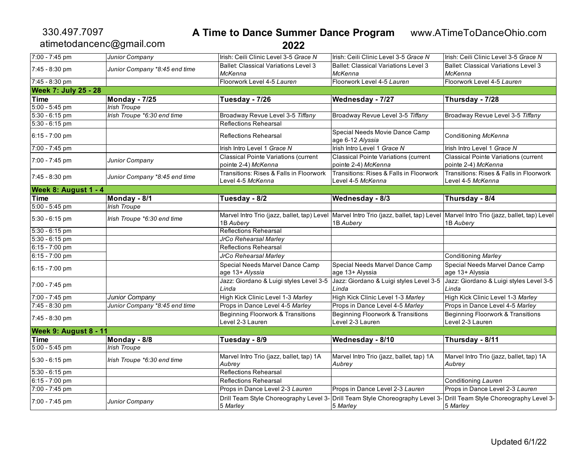### 330.497.7097 atimetodancenc@gmail.com

#### **A Time to Dance Summer Dance Program** www.ATimeToDanceOhio.com

**2022**

| 7:00 - 7:45 pm              | Junior Company                | Irish: Ceili Clinic Level 3-5 Grace N                              | Irish: Ceili Clinic Level 3-5 Grace N                                                                                                            | Irish: Ceili Clinic Level 3-5 Grace N                              |
|-----------------------------|-------------------------------|--------------------------------------------------------------------|--------------------------------------------------------------------------------------------------------------------------------------------------|--------------------------------------------------------------------|
| 7:45 - 8:30 pm              | Junior Company *8:45 end time | <b>Ballet: Classical Variations Level 3</b><br>McKenna             | <b>Ballet: Classical Variations Level 3</b><br>McKenna                                                                                           | <b>Ballet: Classical Variations Level 3</b><br>McKenna             |
| 7:45 - 8:30 pm              |                               | Floorwork Level 4-5 Lauren                                         | Floorwork Level 4-5 Lauren                                                                                                                       | Floorwork Level 4-5 Lauren                                         |
| <b>Week 7: July 25 - 28</b> |                               |                                                                    |                                                                                                                                                  |                                                                    |
| <b>Time</b>                 | Monday - 7/25                 | Tuesday - 7/26                                                     | Wednesday - 7/27                                                                                                                                 | Thursday - 7/28                                                    |
| $5:00 - 5:45$ pm            | <b>Irish Troupe</b>           |                                                                    |                                                                                                                                                  |                                                                    |
| $5:30 - 6:15$ pm            | Irish Troupe *6:30 end time   | Broadway Revue Level 3-5 Tiffany                                   | Broadway Revue Level 3-5 Tiffany                                                                                                                 | Broadway Revue Level 3-5 Tiffany                                   |
| 5:30 - 6:15 pm              |                               | <b>Reflections Rehearsal</b>                                       |                                                                                                                                                  |                                                                    |
| $6:15 - 7:00$ pm            |                               | <b>Reflections Rehearsal</b>                                       | Special Needs Movie Dance Camp<br>age 6-12 Alyssia                                                                                               | Conditioning McKenna                                               |
| 7:00 - 7:45 pm              |                               | Irish Intro Level 1 Grace N                                        | Irish Intro Level 1 Grace N                                                                                                                      | Irish Intro Level 1 Grace N                                        |
| 7:00 - 7:45 pm              | Junior Company                | <b>Classical Pointe Variations (current</b><br>pointe 2-4) McKenna | <b>Classical Pointe Variations (current</b><br>pointe 2-4) McKenna                                                                               | <b>Classical Pointe Variations (current</b><br>pointe 2-4) McKenna |
| 7:45 - 8:30 pm              | Junior Company *8:45 end time | Transitions: Rises & Falls in Floorwork<br>Level 4-5 McKenna       | Transitions: Rises & Falls in Floorwork<br>Level 4-5 McKenna                                                                                     | Transitions: Rises & Falls in Floorwork<br>Level 4-5 McKenna       |
| Week 8: August 1 - 4        |                               |                                                                    |                                                                                                                                                  |                                                                    |
| Time                        | Monday - 8/1                  | Tuesday - 8/2                                                      | Wednesday - 8/3                                                                                                                                  | Thursday - 8/4                                                     |
| 5:00 - 5:45 pm              | <b>Irish Troupe</b>           |                                                                    |                                                                                                                                                  |                                                                    |
| 5:30 - 6:15 pm              | Irish Troupe *6:30 end time   | 1B Aubery                                                          | Marvel Intro Trio (jazz, ballet, tap) Level Marvel Intro Trio (jazz, ballet, tap) Level Marvel Intro Trio (jazz, ballet, tap) Level<br>1B Aubery | 1B Aubery                                                          |
| 5:30 - 6:15 pm              |                               | <b>Reflections Rehearsal</b>                                       |                                                                                                                                                  |                                                                    |
| 5:30 - 6:15 pm              |                               | JrCo Rehearsal Marley                                              |                                                                                                                                                  |                                                                    |
| $6:15 - 7:00$ pm            |                               | <b>Reflections Rehearsal</b>                                       |                                                                                                                                                  |                                                                    |
| 6:15 - 7:00 pm              |                               | JrCo Rehearsal Marley                                              |                                                                                                                                                  | <b>Conditioning Marley</b>                                         |
| $6:15 - 7:00$ pm            |                               | Special Needs Marvel Dance Camp<br>age 13+ Alyssia                 | Special Needs Marvel Dance Camp<br>age 13+ Alyssia                                                                                               | Special Needs Marvel Dance Camp<br>age 13+ Alyssia                 |
| 7:00 - 7:45 pm              |                               | Jazz: Giordano & Luigi styles Level 3-5<br>Linda                   | Jazz: Giordano & Luigi styles Level 3-5<br>Linda                                                                                                 | Jazz: Giordano & Luigi styles Level 3-5<br>Linda                   |
| 7:00 - 7:45 pm              | Junior Company                | High Kick Clinic Level 1-3 Marley                                  | High Kick Clinic Level 1-3 Marley                                                                                                                | High Kick Clinic Level 1-3 Marley                                  |
| 7:45 - 8:30 pm              | Junior Company *8:45 end time | Props in Dance Level 4-5 Marley                                    | Props in Dance Level 4-5 Marley                                                                                                                  | Props in Dance Level 4-5 Marley                                    |
| 7:45 - 8:30 pm              |                               | <b>Beginning Floorwork &amp; Transitions</b><br>Level 2-3 Lauren   | Beginning Floorwork & Transitions<br>Level 2-3 Lauren                                                                                            | <b>Beginning Floorwork &amp; Transitions</b><br>Level 2-3 Lauren   |
| Week 9: August 8 - 11       |                               |                                                                    |                                                                                                                                                  |                                                                    |
| Time                        | Monday - 8/8                  | Tuesday - 8/9                                                      | Wednesday - 8/10                                                                                                                                 | Thursday - 8/11                                                    |
| 5:00 - 5:45 pm              | <b>Irish Troupe</b>           |                                                                    |                                                                                                                                                  |                                                                    |
| 5:30 - 6:15 pm              | Irish Troupe *6:30 end time   | Marvel Intro Trio (jazz, ballet, tap) 1A<br>Aubrey                 | Marvel Intro Trio (jazz, ballet, tap) 1A<br>Aubrey                                                                                               | Marvel Intro Trio (jazz, ballet, tap) 1A<br>Aubrey                 |
| $5:30 - 6:15$ pm            |                               | <b>Reflections Rehearsal</b>                                       |                                                                                                                                                  |                                                                    |
| $6:15 - 7:00$ pm            |                               | <b>Reflections Rehearsal</b>                                       |                                                                                                                                                  | Conditioning Lauren                                                |
| 7:00 - 7:45 pm              |                               | Props in Dance Level 2-3 Lauren                                    | Props in Dance Level 2-3 Lauren                                                                                                                  | Props in Dance Level 2-3 Lauren                                    |
| 7:00 - 7:45 pm              | Junior Company                | 5 Marley                                                           | Drill Team Style Choreography Level 3- Drill Team Style Choreography Level 3-<br>5 Marley                                                        | Drill Team Style Choreography Level 3-<br>5 Marley                 |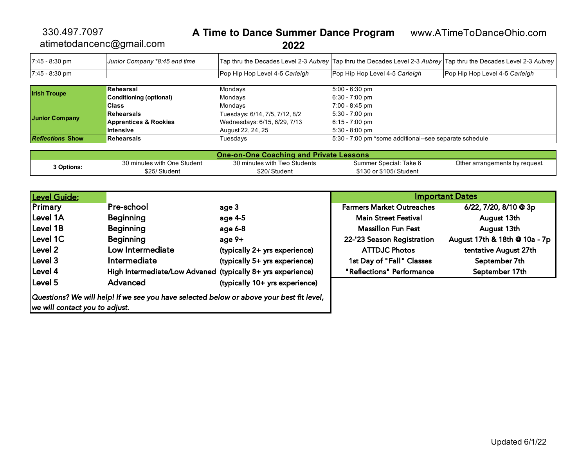### **A Time to Dance Summer Dance Program** www.ATimeToDanceOhio.com

atimetodancenc@gmail.com

330.497.7097

**2022**

| 7:45 - 8:30 pm          | Junior Company *8:45 end time    |                                |                                                        | Tap thru the Decades Level 2-3 Aubrey Tap thru the Decades Level 2-3 Aubrey Tap thru the Decades Level 2-3 Aubrey |  |
|-------------------------|----------------------------------|--------------------------------|--------------------------------------------------------|-------------------------------------------------------------------------------------------------------------------|--|
| 7:45 - 8:30 pm          |                                  | Pop Hip Hop Level 4-5 Carleigh | Pop Hip Hop Level 4-5 Carleigh                         | Pop Hip Hop Level 4-5 Carleigh                                                                                    |  |
|                         |                                  |                                |                                                        |                                                                                                                   |  |
| <b>Irish Troupe</b>     | Rehearsal                        | Mondays                        | $5:00 - 6:30$ pm                                       |                                                                                                                   |  |
|                         | Conditioning (optional)          | Mondays                        | $6:30 - 7:00$ pm                                       |                                                                                                                   |  |
|                         | Class                            | Mondays                        | 7:00 - 8:45 pm                                         |                                                                                                                   |  |
| <b>Junior Company</b>   | Rehearsals                       | Tuesdays: 6/14, 7/5, 7/12, 8/2 | $5:30 - 7:00$ pm                                       |                                                                                                                   |  |
|                         | <b>Apprentices &amp; Rookies</b> | Wednesdays: 6/15, 6/29, 7/13   | $6:15 - 7:00 \text{ pm}$                               |                                                                                                                   |  |
|                         | Intensive                        | August 22, 24, 25              | $5:30 - 8:00$ pm                                       |                                                                                                                   |  |
| <b>Reflections Show</b> | <b>Rehearsals</b>                | Tuesdays                       | 5:30 - 7:00 pm *some additional--see separate schedule |                                                                                                                   |  |

| <b>One-on-One Coaching and Private Lessons</b> |                                             |                                              |                                                   |                                |  |
|------------------------------------------------|---------------------------------------------|----------------------------------------------|---------------------------------------------------|--------------------------------|--|
| <b>Options:</b>                                | 30 minutes with One Student<br>\$25/Student | 30 minutes with Two Students<br>\$20/Student | Summer Special: Take 6<br>\$130 or \$105/ Student | Other arrangements by request. |  |

| Level Guide:                   |                                                                                          |                                |                                  | <b>Important Dates</b>        |
|--------------------------------|------------------------------------------------------------------------------------------|--------------------------------|----------------------------------|-------------------------------|
| Primary                        | Pre-school                                                                               | age 3                          | <b>Farmers Market Outreaches</b> | $6/22$ , $7/20$ , $8/10$ @ 3p |
| Level 1A                       | <b>Beginning</b>                                                                         | age 4-5                        | <b>Main Street Festival</b>      | August 13th                   |
| Level 1B                       | Beginning                                                                                | age 6-8                        | <b>Massillon Fun Fest</b>        | August 13th                   |
| Level 1C                       | Beginning                                                                                | age $9+$                       | 22-'23 Season Registration       | August 17th & 18th @ 10a - 7p |
| Level 2                        | Low Intermediate                                                                         | (typically 2+ yrs experience)  | <b>ATTDJC Photos</b>             | tentative August 27th         |
| Level 3                        | Intermediate                                                                             | (typically 5+ yrs experience)  | 1st Day of "Fall" Classes        | September 7th                 |
| Level 4                        | High Intermediate/Low Advaned (typically 8+ yrs experience)                              |                                | "Reflections" Performance        | September 17th                |
| Level 5                        | Advanced                                                                                 | (typically 10+ yrs experience) |                                  |                               |
| we will contact you to adjust. | Questions? We will help! If we see you have selected below or above your best fit level, |                                |                                  |                               |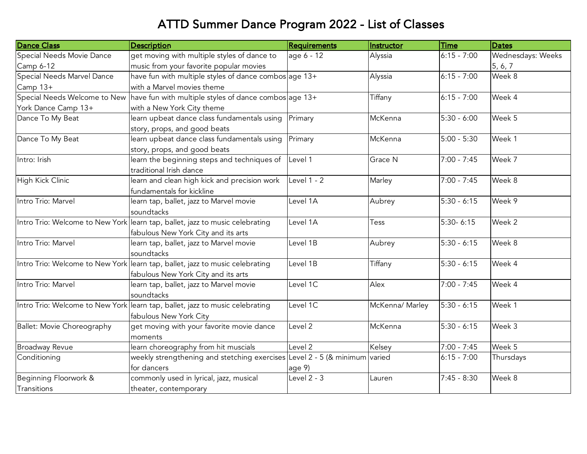| <b>Dance Class</b>           | Description                                                                  | Requirements  | Instructor      | Time          | <b>Dates</b>        |
|------------------------------|------------------------------------------------------------------------------|---------------|-----------------|---------------|---------------------|
| Special Needs Movie Dance    | get moving with multiple styles of dance to                                  | age 6 - 12    | Alyssia         | $6:15 - 7:00$ | Wednesdays: Weeks   |
| Camp 6-12                    | music from your favorite popular movies                                      |               |                 |               | 5, 6, 7             |
| Special Needs Marvel Dance   | have fun with multiple styles of dance combos age 13+                        |               | Alyssia         | $6:15 - 7:00$ | Week 8              |
| Camp 13+                     | with a Marvel movies theme                                                   |               |                 |               |                     |
| Special Needs Welcome to New | have fun with multiple styles of dance combos age 13+                        |               | Tiffany         | $6:15 - 7:00$ | Week 4              |
| York Dance Camp 13+          | with a New York City theme                                                   |               |                 |               |                     |
| Dance To My Beat             | learn upbeat dance class fundamentals using                                  | Primary       | McKenna         | $5:30 - 6:00$ | Week 5              |
|                              | story, props, and good beats                                                 |               |                 |               |                     |
| Dance To My Beat             | learn upbeat dance class fundamentals using                                  | Primary       | McKenna         | $5:00 - 5:30$ | Week 1              |
|                              | story, props, and good beats                                                 |               |                 |               |                     |
| Intro: Irish                 | learn the beginning steps and techniques of                                  | Level 1       | Grace N         | $7:00 - 7:45$ | Week 7              |
|                              | traditional Irish dance                                                      |               |                 |               |                     |
| High Kick Clinic             | learn and clean high kick and precision work                                 | Level 1 - 2   | Marley          | $7:00 - 7:45$ | Week 8              |
|                              | fundamentals for kickline                                                    |               |                 |               |                     |
| Intro Trio: Marvel           | learn tap, ballet, jazz to Marvel movie                                      | Level 1A      | Aubrey          | $5:30 - 6:15$ | Week 9              |
|                              | soundtacks                                                                   |               |                 |               |                     |
|                              | Intro Trio: Welcome to New York learn tap, ballet, jazz to music celebrating | Level 1A      | Tess            | $5:30 - 6:15$ | Week 2              |
|                              | fabulous New York City and its arts                                          |               |                 |               |                     |
| Intro Trio: Marvel           | learn tap, ballet, jazz to Marvel movie                                      | Level 1B      | Aubrey          | $5:30 - 6:15$ | Week 8              |
|                              | soundtacks                                                                   |               |                 |               |                     |
|                              | Intro Trio: Welcome to New York learn tap, ballet, jazz to music celebrating | Level 1B      | Tiffany         | $5:30 - 6:15$ | Week 4              |
|                              | fabulous New York City and its arts                                          |               |                 |               |                     |
| Intro Trio: Marvel           | learn tap, ballet, jazz to Marvel movie                                      | Level 1C      | Alex            | $7:00 - 7:45$ | Week 4              |
|                              | soundtacks                                                                   |               |                 |               |                     |
|                              | Intro Trio: Welcome to New York learn tap, ballet, jazz to music celebrating | Level 1C      | McKenna/ Marley | $5:30 - 6:15$ | Week 1              |
|                              | fabulous New York City                                                       |               |                 |               |                     |
| Ballet: Movie Choreography   | get moving with your favorite movie dance                                    | Level 2       | McKenna         | $5:30 - 6:15$ | Week 3              |
|                              | moments                                                                      |               |                 |               |                     |
| <b>Broadway Revue</b>        | learn choreography from hit muscials                                         | Level 2       | Kelsey          | $7:00 - 7:45$ | Week $\overline{5}$ |
| Conditioning                 | weekly strengthening and stetching exercises Level 2 - 5 (& minimum varied   |               |                 | $6:15 - 7:00$ | Thursdays           |
|                              | for dancers                                                                  | age 9)        |                 |               |                     |
| Beginning Floorwork &        | commonly used in lyrical, jazz, musical                                      | Level $2 - 3$ | Lauren          | $7:45 - 8:30$ | Week 8              |
| Transitions                  | theater, contemporary                                                        |               |                 |               |                     |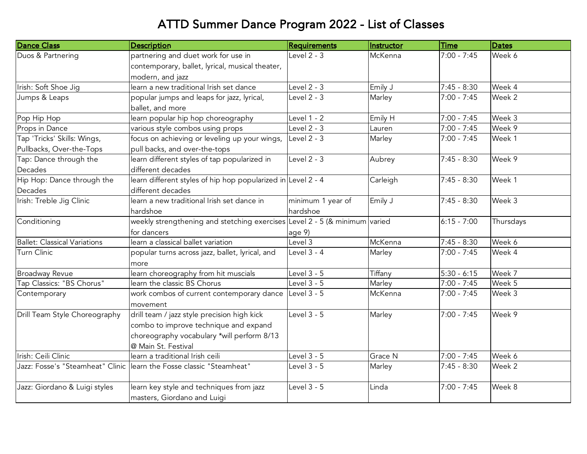| <b>Dance Class</b>                  | <b>Description</b>                                                         | <b>Requirements</b> | Instructor | <b>Time</b>   | <b>Dates</b> |
|-------------------------------------|----------------------------------------------------------------------------|---------------------|------------|---------------|--------------|
| Duos & Partnering                   | partnering and duet work for use in                                        | Level $2 - 3$       | McKenna    | $7:00 - 7:45$ | Week 6       |
|                                     | contemporary, ballet, lyrical, musical theater,                            |                     |            |               |              |
|                                     | modern, and jazz                                                           |                     |            |               |              |
| Irish: Soft Shoe Jig                | learn a new traditional Irish set dance                                    | Level $2 - 3$       | Emily J    | $7:45 - 8:30$ | Week 4       |
| Jumps & Leaps                       | popular jumps and leaps for jazz, lyrical,                                 | Level $2 - 3$       | Marley     | $7:00 - 7:45$ | Week 2       |
|                                     | ballet, and more                                                           |                     |            |               |              |
| Pop Hip Hop                         | learn popular hip hop choreography                                         | Level 1 - 2         | Emily H    | $7:00 - 7:45$ | Week 3       |
| Props in Dance                      | various style combos using props                                           | Level $2 - 3$       | Lauren     | $7:00 - 7:45$ | Week 9       |
| Tap 'Tricks' Skills: Wings,         | focus on achieving or leveling up your wings,                              | Level $2 - 3$       | Marley     | $7:00 - 7:45$ | Week 1       |
| Pullbacks, Over-the-Tops            | pull backs, and over-the-tops                                              |                     |            |               |              |
| Tap: Dance through the              | learn different styles of tap popularized in                               | Level $2 - 3$       | Aubrey     | $7:45 - 8:30$ | Week 9       |
| Decades                             | different decades                                                          |                     |            |               |              |
| Hip Hop: Dance through the          | learn different styles of hip hop popularized in Level 2 - 4               |                     | Carleigh   | $7:45 - 8:30$ | Week 1       |
| Decades                             | different decades                                                          |                     |            |               |              |
| Irish: Treble Jig Clinic            | learn a new traditional Irish set dance in                                 | minimum 1 year of   | Emily J    | $7:45 - 8:30$ | Week 3       |
|                                     | hardshoe                                                                   | hardshoe            |            |               |              |
| Conditioning                        | weekly strengthening and stetching exercises Level 2 - 5 (& minimum varied |                     |            | $6:15 - 7:00$ | Thursdays    |
|                                     | for dancers                                                                | age 9)              |            |               |              |
| <b>Ballet: Classical Variations</b> | learn a classical ballet variation                                         | Level 3             | McKenna    | $7:45 - 8:30$ | Week 6       |
| Turn Clinic                         | popular turns across jazz, ballet, lyrical, and                            | Level $3 - 4$       | Marley     | $7:00 - 7:45$ | Week 4       |
|                                     | more                                                                       |                     |            |               |              |
| <b>Broadway Revue</b>               | learn choreography from hit muscials                                       | Level 3 - 5         | Tiffany    | $5:30 - 6:15$ | Week 7       |
| Tap Classics: "BS Chorus"           | learn the classic BS Chorus                                                | Level 3 - 5         | Marley     | $7:00 - 7:45$ | Week 5       |
| Contemporary                        | work combos of current contemporary dance                                  | Level 3 - 5         | McKenna    | $7:00 - 7:45$ | Week 3       |
|                                     | movement                                                                   |                     |            |               |              |
| Drill Team Style Choreography       | drill team / jazz style precision high kick                                | Level 3 - 5         | Marley     | $7:00 - 7:45$ | Week 9       |
|                                     | combo to improve technique and expand                                      |                     |            |               |              |
|                                     | choreography vocabulary *will perform 8/13                                 |                     |            |               |              |
|                                     | @ Main St. Festival                                                        |                     |            |               |              |
| Irish: Ceili Clinic                 | learn a traditional Irish ceili                                            | Level 3 - 5         | Grace N    | $7:00 - 7:45$ | Week 6       |
|                                     | Jazz: Fosse's "Steamheat" Clinic  learn the Fosse classic "Steamheat"      | Level $3 - 5$       | Marley     | $7:45 - 8:30$ | Week 2       |
|                                     |                                                                            |                     |            |               |              |
| Jazz: Giordano & Luigi styles       | learn key style and techniques from jazz                                   | Level 3 - 5         | Linda      | $7:00 - 7:45$ | Week 8       |
|                                     | masters, Giordano and Luigi                                                |                     |            |               |              |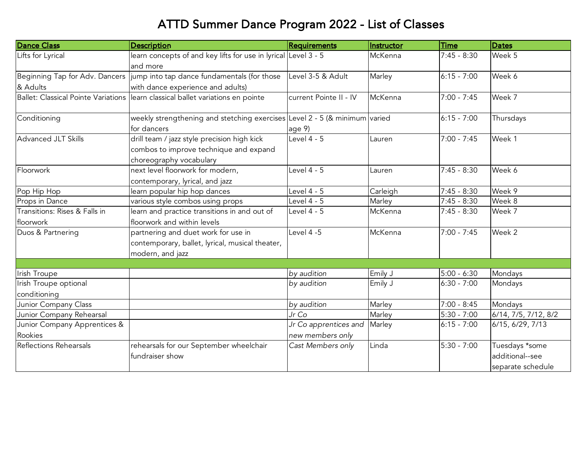| <b>Dance Class</b>             | Description                                                                      | <b>Requirements</b>    | Instructor | <b>Time</b>   | <b>Dates</b>         |
|--------------------------------|----------------------------------------------------------------------------------|------------------------|------------|---------------|----------------------|
| Lifts for Lyrical              | learn concepts of and key lifts for use in lyrical Level 3 - 5                   |                        | McKenna    | $7:45 - 8:30$ | Week 5               |
|                                | and more                                                                         |                        |            |               |                      |
| Beginning Tap for Adv. Dancers | jump into tap dance fundamentals (for those                                      | Level 3-5 & Adult      | Marley     | $6:15 - 7:00$ | Week 6               |
| & Adults                       | with dance experience and adults)                                                |                        |            |               |                      |
|                                | Ballet: Classical Pointe Variations  learn classical ballet variations en pointe | current Pointe II - IV | McKenna    | $7:00 - 7:45$ | Week 7               |
| Conditioning                   | weekly strengthening and stetching exercises Level 2 - 5 (& minimum varied       |                        |            | $6:15 - 7:00$ | Thursdays            |
|                                | for dancers                                                                      | age 9)                 |            |               |                      |
| Advanced JLT Skills            | drill team / jazz style precision high kick                                      | Level 4 - 5            | Lauren     | $7:00 - 7:45$ | Week 1               |
|                                | combos to improve technique and expand                                           |                        |            |               |                      |
|                                | choreography vocabulary                                                          |                        |            |               |                      |
| Floorwork                      | next level floorwork for modern,                                                 | Level 4 - 5            | Lauren     | $7:45 - 8:30$ | Week 6               |
|                                | contemporary, lyrical, and jazz                                                  |                        |            |               |                      |
| Pop Hip Hop                    | learn popular hip hop dances                                                     | Level 4 - 5            | Carleigh   | $7:45 - 8:30$ | Week 9               |
| Props in Dance                 | various style combos using props                                                 | Level 4 - 5            | Marley     | $7:45 - 8:30$ | Week 8               |
| Transitions: Rises & Falls in  | learn and practice transitions in and out of                                     | Level 4 - 5            | McKenna    | $7:45 - 8:30$ | Week 7               |
| floorwork                      | floorwork and within levels                                                      |                        |            |               |                      |
| Duos & Partnering              | partnering and duet work for use in                                              | Level 4-5              | McKenna    | $7:00 - 7:45$ | Week 2               |
|                                | contemporary, ballet, lyrical, musical theater,                                  |                        |            |               |                      |
|                                | modern, and jazz                                                                 |                        |            |               |                      |
|                                |                                                                                  |                        |            |               |                      |
| Irish Troupe                   |                                                                                  | by audition            | Emily J    | $5:00 - 6:30$ | Mondays              |
| Irish Troupe optional          |                                                                                  | by audition            | Emily J    | $6:30 - 7:00$ | Mondays              |
| conditioning                   |                                                                                  |                        |            |               |                      |
| Junior Company Class           |                                                                                  | by audition            | Marley     | $7:00 - 8:45$ | Mondays              |
| Junior Company Rehearsal       |                                                                                  | Jr Co                  | Marley     | $5:30 - 7:00$ | 6/14, 7/5, 7/12, 8/2 |
| Junior Company Apprentices &   |                                                                                  | Jr Co apprentices and  | Marley     | $6:15 - 7:00$ | 6/15, 6/29, 7/13     |
| Rookies                        |                                                                                  | new members only       |            |               |                      |
| <b>Reflections Rehearsals</b>  | rehearsals for our September wheelchair                                          | Cast Members only      | Linda      | $5:30 - 7:00$ | Tuesdays *some       |
|                                | fundraiser show                                                                  |                        |            |               | additional--see      |
|                                |                                                                                  |                        |            |               | separate schedule    |